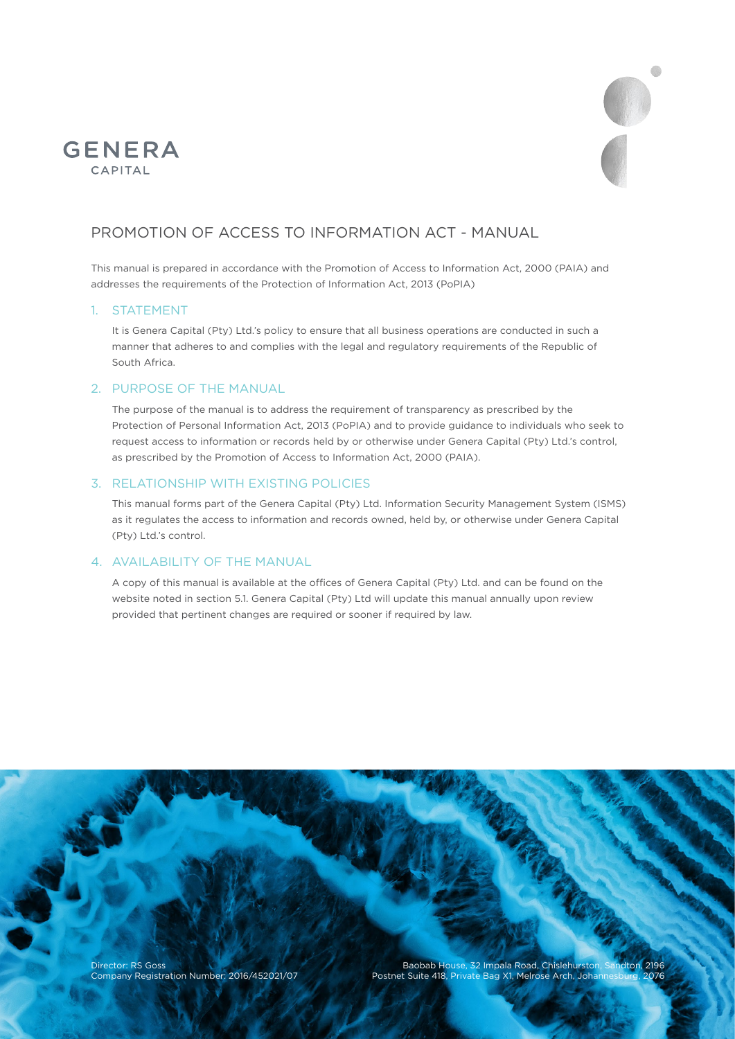



# PROMOTION OF ACCESS TO INFORMATION ACT - MANUAL

This manual is prepared in accordance with the Promotion of Access to Information Act, 2000 (PAIA) and addresses the requirements of the Protection of Information Act, 2013 (PoPIA)

## 1. STATEMENT

It is Genera Capital (Pty) Ltd.'s policy to ensure that all business operations are conducted in such a manner that adheres to and complies with the legal and regulatory requirements of the Republic of South Africa.

## 2. PURPOSE OF THE MANUAL

The purpose of the manual is to address the requirement of transparency as prescribed by the Protection of Personal Information Act, 2013 (PoPIA) and to provide guidance to individuals who seek to request access to information or records held by or otherwise under Genera Capital (Pty) Ltd.'s control, as prescribed by the Promotion of Access to Information Act, 2000 (PAIA).

## 3. RELATIONSHIP WITH EXISTING POLICIES

This manual forms part of the Genera Capital (Pty) Ltd. Information Security Management System (ISMS) as it regulates the access to information and records owned, held by, or otherwise under Genera Capital (Pty) Ltd.'s control.

## 4. AVAILABILITY OF THE MANUAL

A copy of this manual is available at the offices of Genera Capital (Pty) Ltd. and can be found on the website noted in section 5.1. Genera Capital (Pty) Ltd will update this manual annually upon review provided that pertinent changes are required or sooner if required by law.

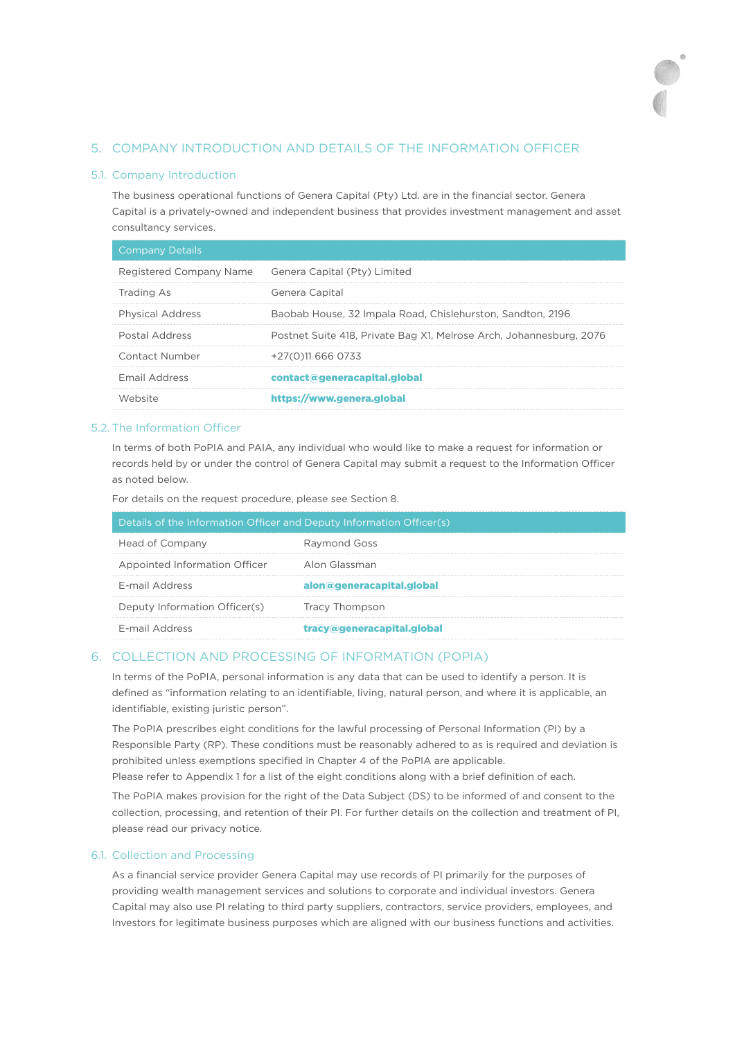## 5. COMPANY INTRODUCTION AND DETAILS OF THE INFORMATION OFFICER

## 5.1. Company Introduction

The business operational functions of Genera Capital (Pty) Ltd. are in the financial sector. Genera Capital is a privately-owned and independent business that provides investment management and asset consultancy services.

| <b>Company Details</b>  |                                                                     |
|-------------------------|---------------------------------------------------------------------|
| Registered Company Name | Genera Capital (Pty) Limited                                        |
| Trading As              | Genera Capital                                                      |
| <b>Physical Address</b> | Baobab House, 32 Impala Road, Chislehurston, Sandton, 2196          |
| Postal Address          | Postnet Suite 418, Private Bag X1, Melrose Arch, Johannesburg, 2076 |
| Contact Number          | +27(0)11 666 0733                                                   |
| <b>Email Address</b>    | contact@generacapital.global                                        |
| Website                 | https://www.genera.global                                           |

## 5.2. The Information Officer

In terms of both PoPIA and PAIA, any individual who would like to make a request for information or records held by or under the control of Genera Capital may submit a request to the Information Officer as noted below.

For details on the request procedure, please see Section 8.

| Details of the Information Officer and Deputy Information Officer(s) |                            |  |
|----------------------------------------------------------------------|----------------------------|--|
| Head of Company                                                      | Raymond Goss               |  |
| Appointed Information Officer                                        | Alon Glassman              |  |
| F-mail Address                                                       | alon@generacapital.global  |  |
| Deputy Information Officer(s)                                        | <b>Tracy Thompson</b>      |  |
| F-mail Address                                                       | tracy@generacapital.global |  |

### 6. COLLECTION AND PROCESSING OF INFORMATION (POPIA)

In terms of the PoPIA, personal information is any data that can be used to identify a person. It is defined as "information relating to an identifiable, living, natural person, and where it is applicable, an identifiable, existing juristic person".

The PoPIA prescribes eight conditions for the lawful processing of Personal Information (PI) by a Responsible Party (RP). These conditions must be reasonably adhered to as is required and deviation is prohibited unless exemptions specified in Chapter 4 of the PoPIA are applicable.

Please refer to Appendix 1 for a list of the eight conditions along with a brief definition of each.

The PoPIA makes provision for the right of the Data Subject (DS) to be informed of and consent to the collection, processing, and retention of their PI. For further details on the collection and treatment of PI, please read our privacy notice.

## 6.1. Collection and Processing

As a financial service provider Genera Capital may use records of PI primarily for the purposes of providing wealth management services and solutions to corporate and individual investors. Genera Capital may also use PI relating to third party suppliers, contractors, service providers, employees, and Investors for legitimate business purposes which are aligned with our business functions and activities.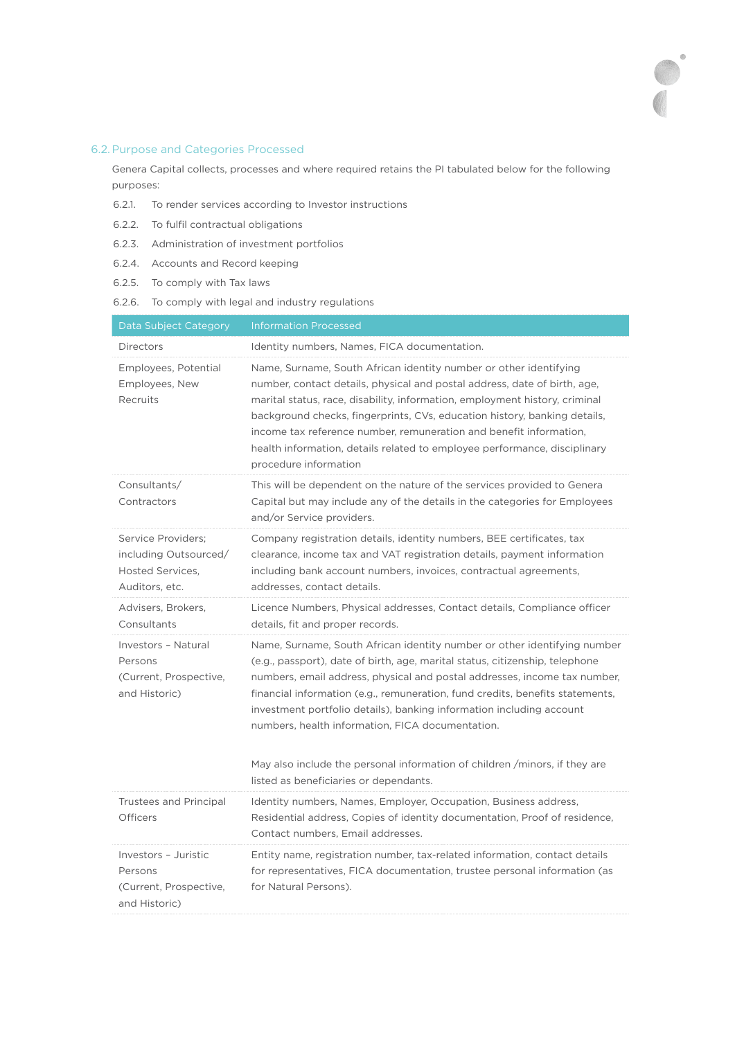## 6.2.Purpose and Categories Processed

Genera Capital collects, processes and where required retains the PI tabulated below for the following purposes:

- 6.2.1. To render services according to Investor instructions
- 6.2.2. To fulfil contractual obligations
- 6.2.3. Administration of investment portfolios
- 6.2.4. Accounts and Record keeping
- 6.2.5. To comply with Tax laws
- 6.2.6. To comply with legal and industry regulations

| Data Subject Category                                                             | <b>Information Processed</b>                                                                                                                                                                                                                                                                                                                                                                                                                                                                                                     |
|-----------------------------------------------------------------------------------|----------------------------------------------------------------------------------------------------------------------------------------------------------------------------------------------------------------------------------------------------------------------------------------------------------------------------------------------------------------------------------------------------------------------------------------------------------------------------------------------------------------------------------|
| Directors                                                                         | Identity numbers, Names, FICA documentation.                                                                                                                                                                                                                                                                                                                                                                                                                                                                                     |
| Employees, Potential<br>Employees, New<br>Recruits                                | Name, Surname, South African identity number or other identifying<br>number, contact details, physical and postal address, date of birth, age,<br>marital status, race, disability, information, employment history, criminal<br>background checks, fingerprints, CVs, education history, banking details,<br>income tax reference number, remuneration and benefit information,<br>health information, details related to employee performance, disciplinary<br>procedure information                                           |
| Consultants/<br>Contractors                                                       | This will be dependent on the nature of the services provided to Genera<br>Capital but may include any of the details in the categories for Employees<br>and/or Service providers.                                                                                                                                                                                                                                                                                                                                               |
| Service Providers:<br>including Outsourced/<br>Hosted Services.<br>Auditors, etc. | Company registration details, identity numbers, BEE certificates, tax<br>clearance, income tax and VAT registration details, payment information<br>including bank account numbers, invoices, contractual agreements,<br>addresses, contact details.                                                                                                                                                                                                                                                                             |
| Advisers, Brokers,<br>Consultants                                                 | Licence Numbers, Physical addresses, Contact details, Compliance officer<br>details, fit and proper records.                                                                                                                                                                                                                                                                                                                                                                                                                     |
| Investors - Natural<br>Persons<br>(Current, Prospective,<br>and Historic)         | Name, Surname, South African identity number or other identifying number<br>(e.g., passport), date of birth, age, marital status, citizenship, telephone<br>numbers, email address, physical and postal addresses, income tax number,<br>financial information (e.g., remuneration, fund credits, benefits statements,<br>investment portfolio details), banking information including account<br>numbers, health information, FICA documentation.<br>May also include the personal information of children /minors, if they are |
|                                                                                   | listed as beneficiaries or dependants.                                                                                                                                                                                                                                                                                                                                                                                                                                                                                           |
| <b>Trustees and Principal</b><br><b>Officers</b>                                  | Identity numbers, Names, Employer, Occupation, Business address,<br>Residential address, Copies of identity documentation, Proof of residence,<br>Contact numbers, Email addresses.                                                                                                                                                                                                                                                                                                                                              |
| Investors - Juristic<br>Persons<br>(Current, Prospective,<br>and Historic)        | Entity name, registration number, tax-related information, contact details<br>for representatives, FICA documentation, trustee personal information (as<br>for Natural Persons).                                                                                                                                                                                                                                                                                                                                                 |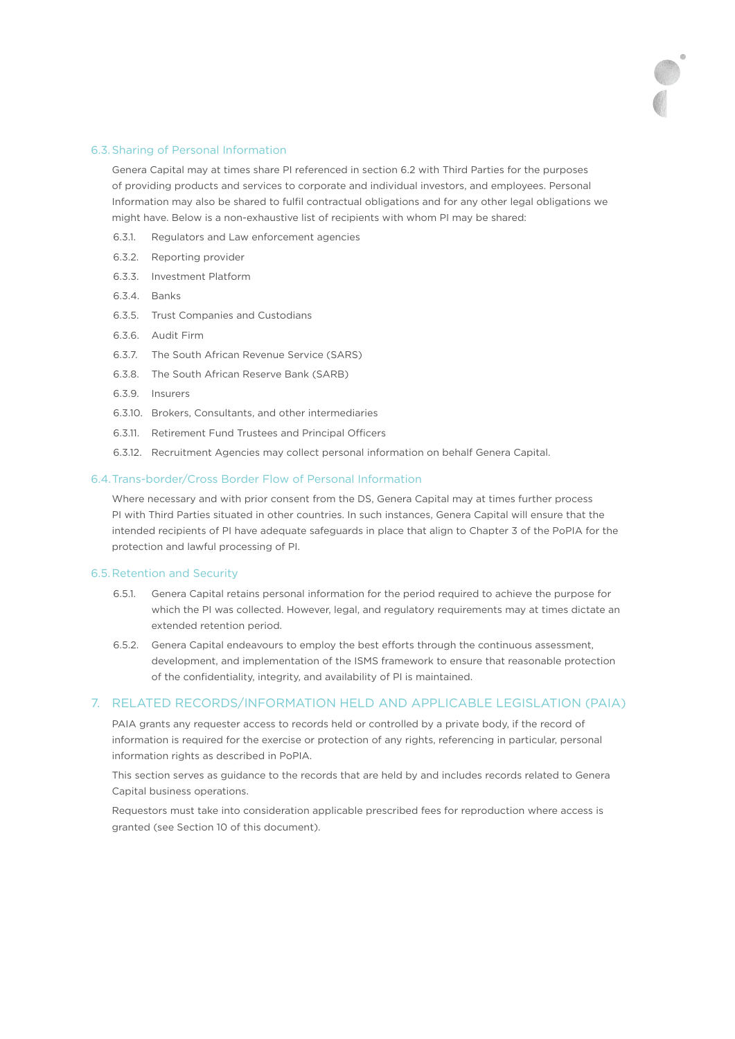#### 6.3.Sharing of Personal Information

Genera Capital may at times share PI referenced in section 6.2 with Third Parties for the purposes of providing products and services to corporate and individual investors, and employees. Personal Information may also be shared to fulfil contractual obligations and for any other legal obligations we might have. Below is a non-exhaustive list of recipients with whom PI may be shared:

- 6.3.1. Regulators and Law enforcement agencies
- 6.3.2. Reporting provider
- 6.3.3. Investment Platform
- 6.3.4. Banks
- 6.3.5. Trust Companies and Custodians
- 6.3.6. Audit Firm
- 6.3.7. The South African Revenue Service (SARS)
- 6.3.8. The South African Reserve Bank (SARB)
- 6.3.9. Insurers
- 6.3.10. Brokers, Consultants, and other intermediaries
- 6.3.11. Retirement Fund Trustees and Principal Officers
- 6.3.12. Recruitment Agencies may collect personal information on behalf Genera Capital.

## 6.4.Trans-border/Cross Border Flow of Personal Information

Where necessary and with prior consent from the DS, Genera Capital may at times further process PI with Third Parties situated in other countries. In such instances, Genera Capital will ensure that the intended recipients of PI have adequate safeguards in place that align to Chapter 3 of the PoPIA for the protection and lawful processing of PI.

#### 6.5.Retention and Security

- 6.5.1. Genera Capital retains personal information for the period required to achieve the purpose for which the PI was collected. However, legal, and regulatory requirements may at times dictate an extended retention period.
- 6.5.2. Genera Capital endeavours to employ the best efforts through the continuous assessment, development, and implementation of the ISMS framework to ensure that reasonable protection of the confidentiality, integrity, and availability of PI is maintained.

#### 7. RELATED RECORDS/INFORMATION HELD AND APPLICABLE LEGISLATION (PAIA)

PAIA grants any requester access to records held or controlled by a private body, if the record of information is required for the exercise or protection of any rights, referencing in particular, personal information rights as described in PoPIA.

This section serves as guidance to the records that are held by and includes records related to Genera Capital business operations.

Requestors must take into consideration applicable prescribed fees for reproduction where access is granted (see Section 10 of this document).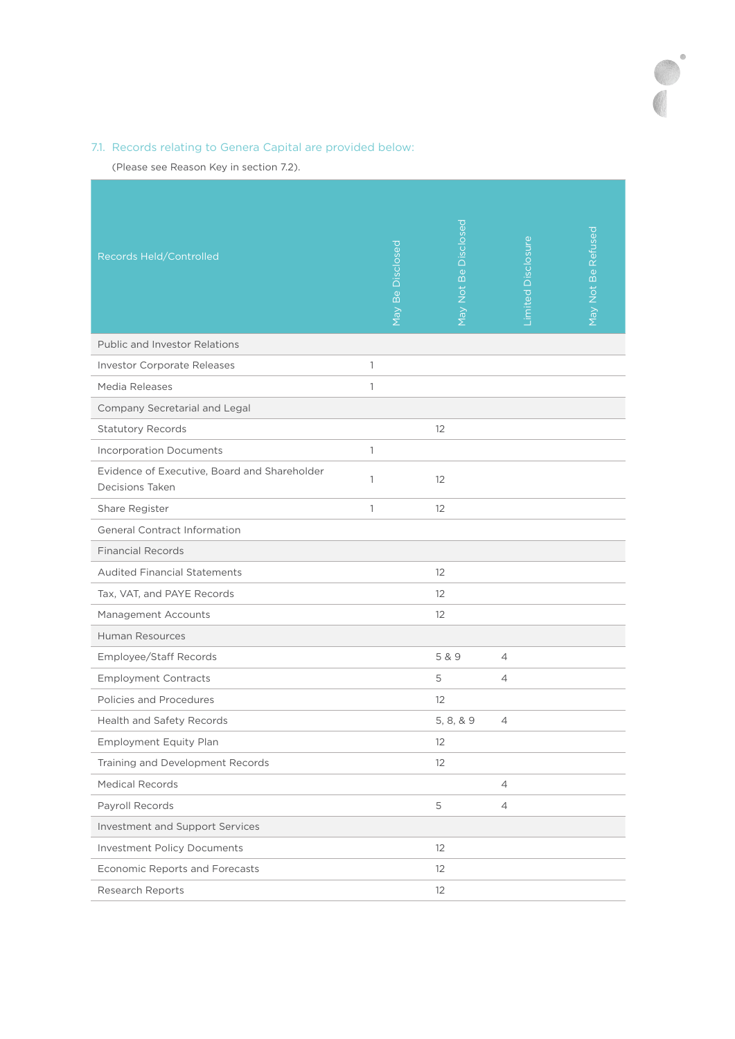# 7.1. Records relating to Genera Capital are provided below:

(Please see Reason Key in section 7.2).

| Records Held/Controlled                                         | Disclosed<br>May Be | May Not Be Disclosed | imited Disclosure | May Not Be Refused |
|-----------------------------------------------------------------|---------------------|----------------------|-------------------|--------------------|
| <b>Public and Investor Relations</b>                            |                     |                      |                   |                    |
| Investor Corporate Releases                                     | 1                   |                      |                   |                    |
| Media Releases                                                  | 1                   |                      |                   |                    |
| Company Secretarial and Legal                                   |                     |                      |                   |                    |
| <b>Statutory Records</b>                                        |                     | 12                   |                   |                    |
| <b>Incorporation Documents</b>                                  | 1                   |                      |                   |                    |
| Evidence of Executive, Board and Shareholder<br>Decisions Taken | 1                   | 12                   |                   |                    |
| Share Register                                                  | 1                   | 12                   |                   |                    |
| <b>General Contract Information</b>                             |                     |                      |                   |                    |
| <b>Financial Records</b>                                        |                     |                      |                   |                    |
| <b>Audited Financial Statements</b>                             |                     | 12                   |                   |                    |
| Tax, VAT, and PAYE Records                                      |                     | 12                   |                   |                    |
| Management Accounts                                             |                     | 12                   |                   |                    |
| <b>Human Resources</b>                                          |                     |                      |                   |                    |
| Employee/Staff Records                                          |                     | 5 & 9                | 4                 |                    |
| <b>Employment Contracts</b>                                     |                     | 5                    | 4                 |                    |
| Policies and Procedures                                         |                     | 12                   |                   |                    |
| Health and Safety Records                                       |                     | 5, 8, & 9            | $\overline{4}$    |                    |
| Employment Equity Plan                                          |                     | 12                   |                   |                    |
| Training and Development Records                                |                     | 12                   |                   |                    |
| <b>Medical Records</b>                                          |                     |                      | $\overline{4}$    |                    |
| Payroll Records                                                 |                     | 5                    | $\overline{4}$    |                    |
| Investment and Support Services                                 |                     |                      |                   |                    |
| <b>Investment Policy Documents</b>                              |                     | 12                   |                   |                    |
| Economic Reports and Forecasts                                  |                     | 12                   |                   |                    |
| Research Reports                                                |                     | $12 \overline{ }$    |                   |                    |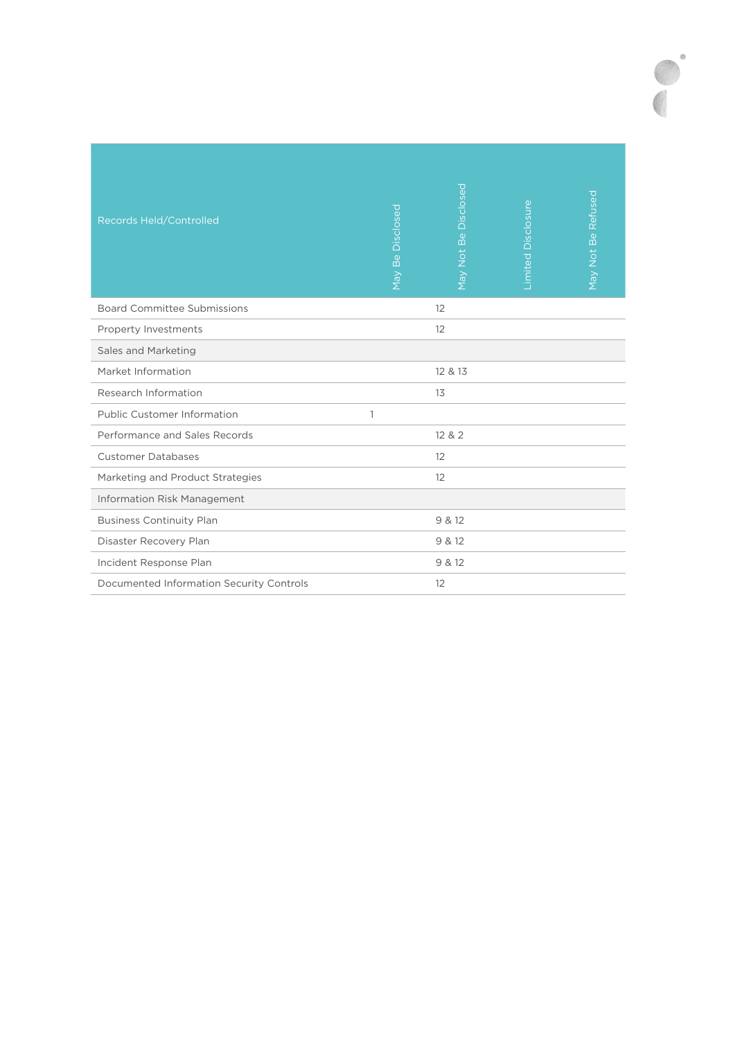| Records Held/Controlled                  | Disclosed<br>Be<br><b>May</b> | Disclosed<br>Be<br>May Not | <b>Limited Disclosure</b> | May Not Be Refused |
|------------------------------------------|-------------------------------|----------------------------|---------------------------|--------------------|
| <b>Board Committee Submissions</b>       |                               | 12                         |                           |                    |
| Property Investments                     |                               | 12                         |                           |                    |
| Sales and Marketing                      |                               |                            |                           |                    |
| Market Information                       |                               | 12 & 13                    |                           |                    |
| Research Information                     |                               | 13                         |                           |                    |
| <b>Public Customer Information</b>       | $\mathbf{1}$                  |                            |                           |                    |
| Performance and Sales Records            |                               | 12 & 2                     |                           |                    |
| <b>Customer Databases</b>                |                               | 12                         |                           |                    |
| Marketing and Product Strategies         |                               | 12                         |                           |                    |
| <b>Information Risk Management</b>       |                               |                            |                           |                    |
| <b>Business Continuity Plan</b>          |                               | 9 & 12                     |                           |                    |
| Disaster Recovery Plan                   |                               | 9 & 12                     |                           |                    |
| Incident Response Plan                   |                               | 9 & 12                     |                           |                    |
| Documented Information Security Controls |                               | 12                         |                           |                    |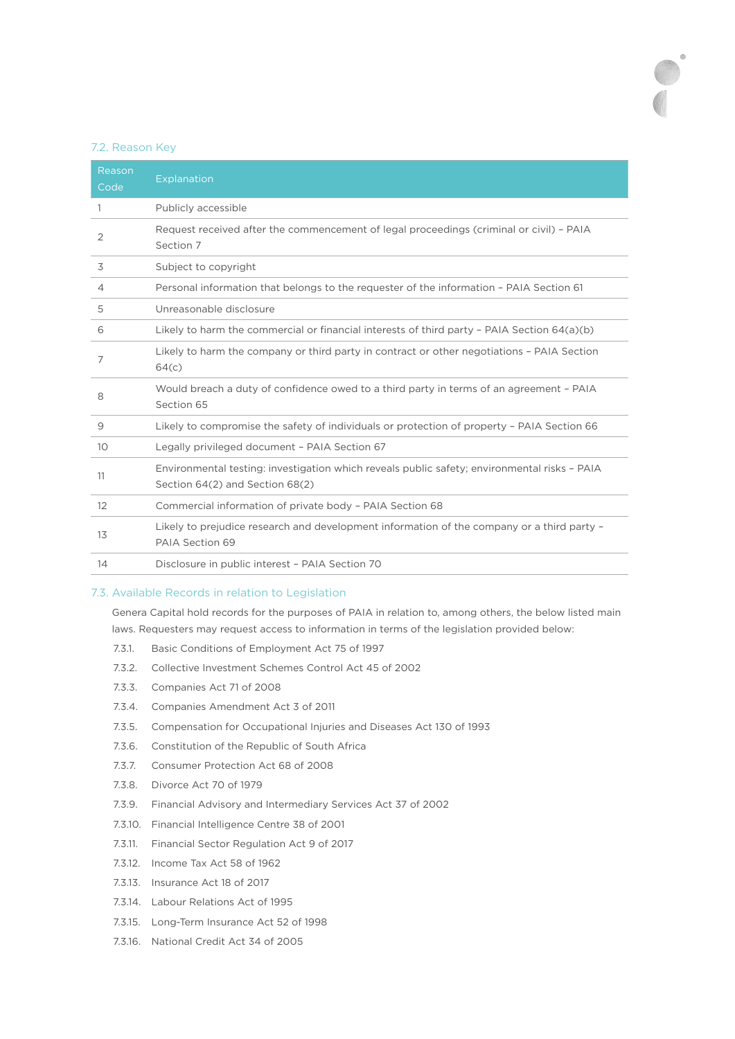#### 7.2. Reason Key

| Reason<br>Code  | Explanation                                                                                                                     |
|-----------------|---------------------------------------------------------------------------------------------------------------------------------|
| 1               | Publicly accessible                                                                                                             |
| 2               | Request received after the commencement of legal proceedings (criminal or civil) - PAIA<br>Section 7                            |
| 3               | Subject to copyright                                                                                                            |
| $\overline{4}$  | Personal information that belongs to the requester of the information - PAIA Section 61                                         |
| 5               | Unreasonable disclosure                                                                                                         |
| 6               | Likely to harm the commercial or financial interests of third party - PAIA Section 64(a)(b)                                     |
| 7               | Likely to harm the company or third party in contract or other negotiations - PAIA Section<br>64(c)                             |
| 8               | Would breach a duty of confidence owed to a third party in terms of an agreement - PAIA<br>Section 65                           |
| 9               | Likely to compromise the safety of individuals or protection of property - PAIA Section 66                                      |
| 10 <sup>°</sup> | Legally privileged document - PAIA Section 67                                                                                   |
| 11              | Environmental testing: investigation which reveals public safety; environmental risks - PAIA<br>Section 64(2) and Section 68(2) |
| 12              | Commercial information of private body - PAIA Section 68                                                                        |
| 13              | Likely to prejudice research and development information of the company or a third party -<br>PAIA Section 69                   |
| 14              | Disclosure in public interest - PAIA Section 70                                                                                 |

### 7.3. Available Records in relation to Legislation

Genera Capital hold records for the purposes of PAIA in relation to, among others, the below listed main laws. Requesters may request access to information in terms of the legislation provided below:

- 7.3.1. Basic Conditions of Employment Act 75 of 1997
- 7.3.2. Collective Investment Schemes Control Act 45 of 2002
- 7.3.3. Companies Act 71 of 2008
- 7.3.4. Companies Amendment Act 3 of 2011
- 7.3.5. Compensation for Occupational Injuries and Diseases Act 130 of 1993
- 7.3.6. Constitution of the Republic of South Africa
- 7.3.7. Consumer Protection Act 68 of 2008
- 7.3.8. Divorce Act 70 of 1979
- 7.3.9. Financial Advisory and Intermediary Services Act 37 of 2002
- 7.3.10. Financial Intelligence Centre 38 of 2001
- 7.3.11. Financial Sector Regulation Act 9 of 2017
- 7.3.12. Income Tax Act 58 of 1962
- 7.3.13. Insurance Act 18 of 2017
- 7.3.14. Labour Relations Act of 1995
- 7.3.15. Long-Term Insurance Act 52 of 1998
- 7.3.16. National Credit Act 34 of 2005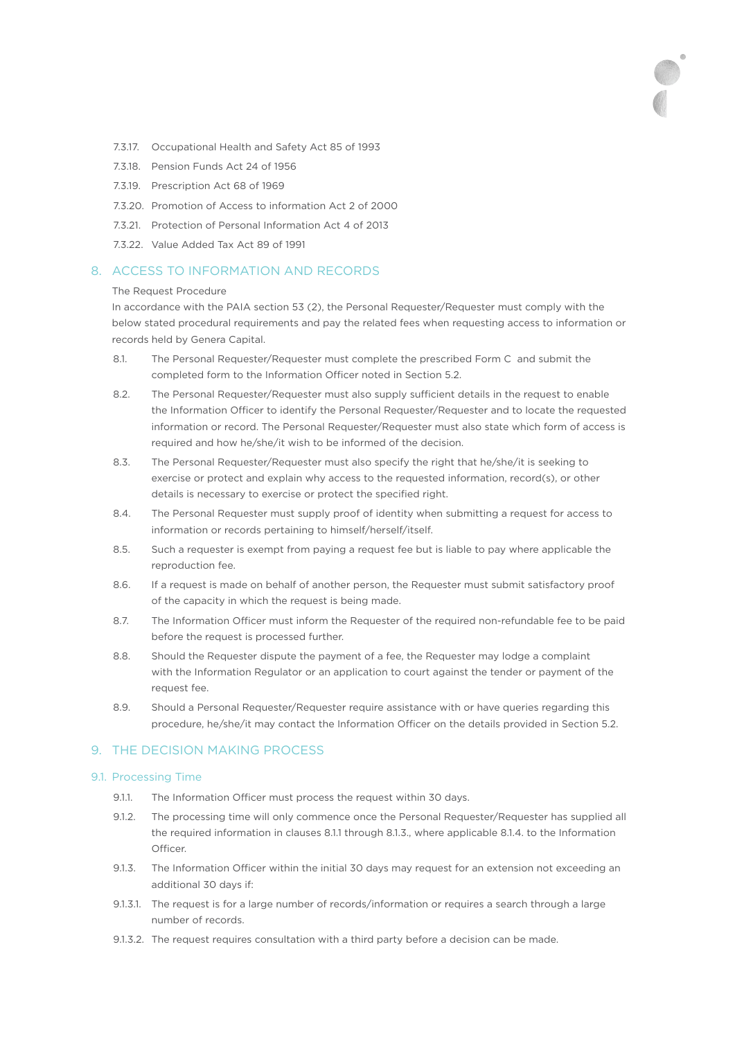- 7.3.17. Occupational Health and Safety Act 85 of 1993
- 7.3.18. Pension Funds Act 24 of 1956
- 7.3.19. Prescription Act 68 of 1969
- 7.3.20. Promotion of Access to information Act 2 of 2000
- 7.3.21. Protection of Personal Information Act 4 of 2013
- 7.3.22. Value Added Tax Act 89 of 1991

## 8. ACCESS TO INFORMATION AND RECORDS

#### The Request Procedure

In accordance with the PAIA section 53 (2), the Personal Requester/Requester must comply with the below stated procedural requirements and pay the related fees when requesting access to information or records held by Genera Capital.

- 8.1. The Personal Requester/Requester must complete the prescribed Form C and submit the completed form to the Information Officer noted in Section 5.2.
- 8.2. The Personal Requester/Requester must also supply sufficient details in the request to enable the Information Officer to identify the Personal Requester/Requester and to locate the requested information or record. The Personal Requester/Requester must also state which form of access is required and how he/she/it wish to be informed of the decision.
- 8.3. The Personal Requester/Requester must also specify the right that he/she/it is seeking to exercise or protect and explain why access to the requested information, record(s), or other details is necessary to exercise or protect the specified right.
- 8.4. The Personal Requester must supply proof of identity when submitting a request for access to information or records pertaining to himself/herself/itself.
- 8.5. Such a requester is exempt from paying a request fee but is liable to pay where applicable the reproduction fee.
- 8.6. If a request is made on behalf of another person, the Requester must submit satisfactory proof of the capacity in which the request is being made.
- 8.7. The Information Officer must inform the Requester of the required non-refundable fee to be paid before the request is processed further.
- 8.8. Should the Requester dispute the payment of a fee, the Requester may lodge a complaint with the Information Regulator or an application to court against the tender or payment of the request fee.
- 8.9. Should a Personal Requester/Requester require assistance with or have queries regarding this procedure, he/she/it may contact the Information Officer on the details provided in Section 5.2.

## 9. THE DECISION MAKING PROCESS

#### 9.1. Processing Time

- 9.1.1. The Information Officer must process the request within 30 days.
- 9.1.2. The processing time will only commence once the Personal Requester/Requester has supplied all the required information in clauses 8.1.1 through 8.1.3., where applicable 8.1.4. to the Information Officer
- 9.1.3. The Information Officer within the initial 30 days may request for an extension not exceeding an additional 30 days if:
- 9.1.3.1. The request is for a large number of records/information or requires a search through a large number of records.
- 9.1.3.2. The request requires consultation with a third party before a decision can be made.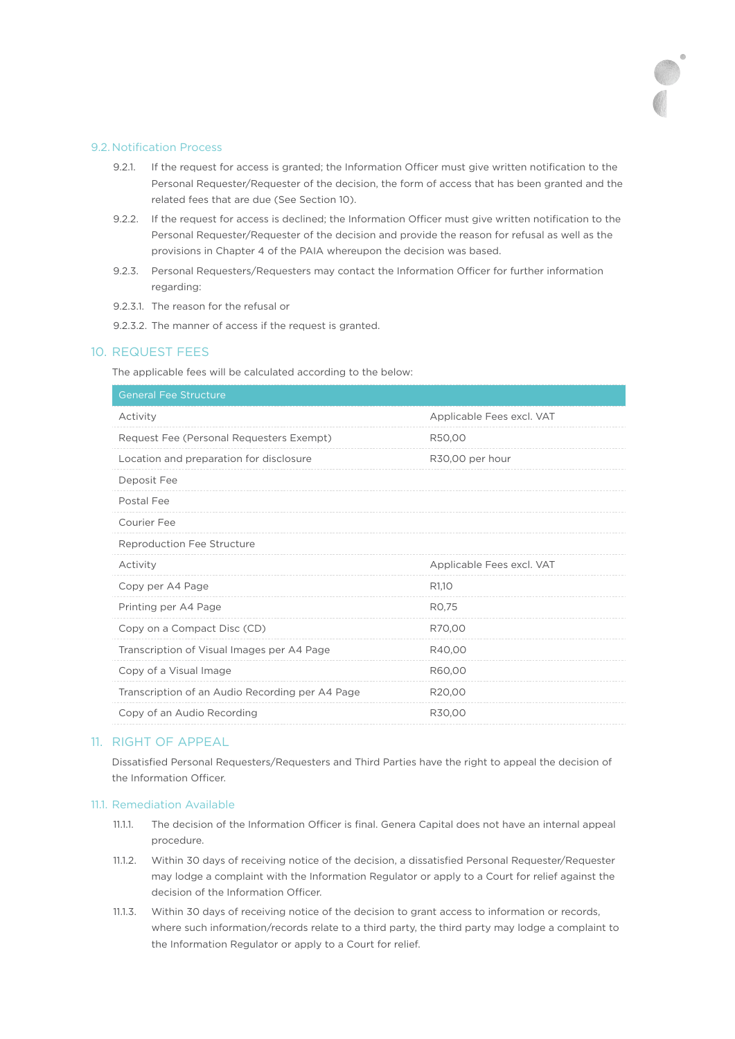#### 9.2. Notification Process

- 9.2.1. If the request for access is granted; the Information Officer must give written notification to the Personal Requester/Requester of the decision, the form of access that has been granted and the related fees that are due (See Section 10).
- 9.2.2. If the request for access is declined; the Information Officer must give written notification to the Personal Requester/Requester of the decision and provide the reason for refusal as well as the provisions in Chapter 4 of the PAIA whereupon the decision was based.
- 9.2.3. Personal Requesters/Requesters may contact the Information Officer for further information regarding:
- 9.2.3.1. The reason for the refusal or
- 9.2.3.2. The manner of access if the request is granted.

### 10. REQUEST FEES

The applicable fees will be calculated according to the below:

| <b>General Fee Structure</b>                    |                           |
|-------------------------------------------------|---------------------------|
| Activity                                        | Applicable Fees excl. VAT |
| Request Fee (Personal Requesters Exempt)        | R50,00                    |
| Location and preparation for disclosure         | R30,00 per hour           |
| Deposit Fee                                     |                           |
| Postal Fee                                      |                           |
| <b>Courier Fee</b>                              |                           |
| Reproduction Fee Structure                      |                           |
| Activity                                        | Applicable Fees excl. VAT |
| Copy per A4 Page                                | R <sub>1,10</sub>         |
| Printing per A4 Page                            | RO,75                     |
| Copy on a Compact Disc (CD)                     | R70,00                    |
| Transcription of Visual Images per A4 Page      | R40.00                    |
| Copy of a Visual Image                          | R60,00                    |
| Transcription of an Audio Recording per A4 Page | R20,00                    |
| Copy of an Audio Recording                      | R30,00                    |
|                                                 |                           |

## 11. RIGHT OF APPEAL

Dissatisfied Personal Requesters/Requesters and Third Parties have the right to appeal the decision of the Information Officer.

## 11.1. Remediation Available

- 11.1.1. The decision of the Information Officer is final. Genera Capital does not have an internal appeal procedure.
- 11.1.2. Within 30 days of receiving notice of the decision, a dissatisfied Personal Requester/Requester may lodge a complaint with the Information Regulator or apply to a Court for relief against the decision of the Information Officer.
- 11.1.3. Within 30 days of receiving notice of the decision to grant access to information or records, where such information/records relate to a third party, the third party may lodge a complaint to the Information Regulator or apply to a Court for relief.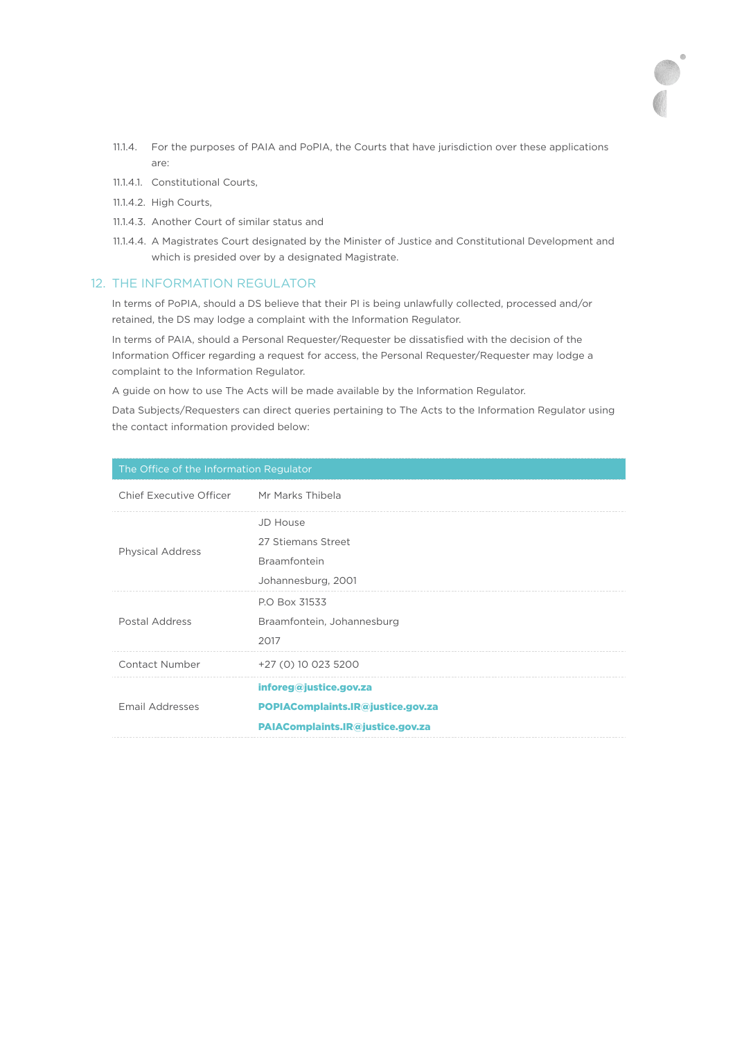- 11.1.4. For the purposes of PAIA and PoPIA, the Courts that have jurisdiction over these applications are:
- 11.1.4.1. Constitutional Courts,
- 11.1.4.2. High Courts,
- 11.1.4.3. Another Court of similar status and
- 11.1.4.4. A Magistrates Court designated by the Minister of Justice and Constitutional Development and which is presided over by a designated Magistrate.

### 12. THE INFORMATION REGULATOR

In terms of PoPIA, should a DS believe that their PI is being unlawfully collected, processed and/or retained, the DS may lodge a complaint with the Information Regulator.

In terms of PAIA, should a Personal Requester/Requester be dissatisfied with the decision of the Information Officer regarding a request for access, the Personal Requester/Requester may lodge a complaint to the Information Regulator.

A guide on how to use The Acts will be made available by the Information Regulator.

Data Subjects/Requesters can direct queries pertaining to The Acts to the Information Regulator using the contact information provided below:

| The Office of the Information Regulator |                                   |  |
|-----------------------------------------|-----------------------------------|--|
| <b>Chief Executive Officer</b>          | Mr Marks Thibela                  |  |
|                                         | <b>JD House</b>                   |  |
| <b>Physical Address</b>                 | 27 Stiemans Street                |  |
|                                         | Braamfontein                      |  |
|                                         | Johannesburg, 2001                |  |
| Postal Address                          | P.O Box 31533                     |  |
|                                         | Braamfontein, Johannesburg        |  |
|                                         | 2017                              |  |
| Contact Number                          | +27 (0) 10 023 5200               |  |
| Email Addresses                         | inforeg@justice.gov.za            |  |
|                                         | POPIAComplaints.IR@justice.gov.za |  |
|                                         | PAIAComplaints.IR@justice.gov.za  |  |
|                                         |                                   |  |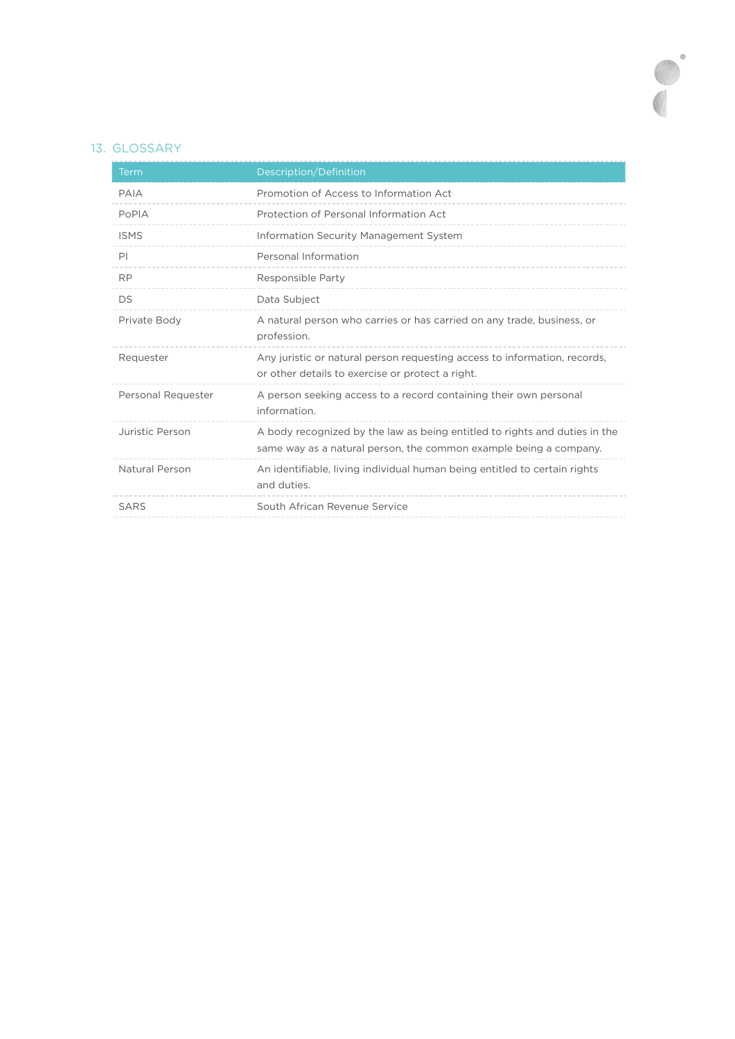# 13. GLOSSARY

| Term               | Description/Definition                                                                                                                          |
|--------------------|-------------------------------------------------------------------------------------------------------------------------------------------------|
| PAIA               | Promotion of Access to Information Act                                                                                                          |
| PoPIA              | Protection of Personal Information Act                                                                                                          |
| <b>ISMS</b>        | Information Security Management System                                                                                                          |
| PI                 | Personal Information                                                                                                                            |
| <b>RP</b>          | Responsible Party                                                                                                                               |
| DS                 | Data Subject                                                                                                                                    |
| Private Body       | A natural person who carries or has carried on any trade, business, or<br>profession.                                                           |
| Requester          | Any juristic or natural person requesting access to information, records,<br>or other details to exercise or protect a right.                   |
| Personal Requester | A person seeking access to a record containing their own personal<br>information.                                                               |
| Juristic Person    | A body recognized by the law as being entitled to rights and duties in the<br>same way as a natural person, the common example being a company. |
| Natural Person     | An identifiable, living individual human being entitled to certain rights<br>and duties.                                                        |
| SARS               | South African Revenue Service                                                                                                                   |